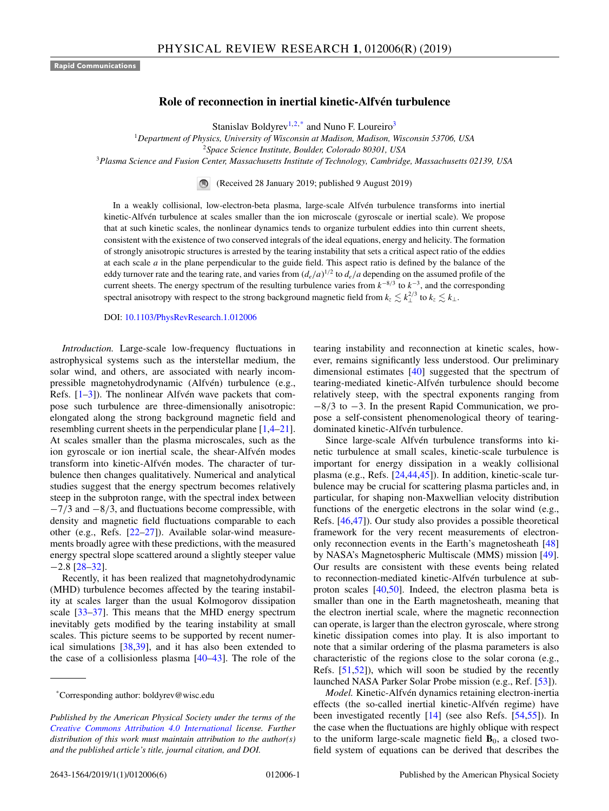## **Role of reconnection in inertial kinetic-Alfvén turbulence**

Stanislav Boldyrev<sup>1,2,\*</sup> and Nuno F. Loureiro<sup>3</sup>

<sup>1</sup>*Department of Physics, University of Wisconsin at Madison, Madison, Wisconsin 53706, USA*

<sup>2</sup>*Space Science Institute, Boulder, Colorado 80301, USA*

<sup>3</sup>*Plasma Science and Fusion Center, Massachusetts Institute of Technology, Cambridge, Massachusetts 02139, USA*

(Received 28 January 2019; published 9 August 2019)

In a weakly collisional, low-electron-beta plasma, large-scale Alfvén turbulence transforms into inertial kinetic-Alfvén turbulence at scales smaller than the ion microscale (gyroscale or inertial scale). We propose that at such kinetic scales, the nonlinear dynamics tends to organize turbulent eddies into thin current sheets, consistent with the existence of two conserved integrals of the ideal equations, energy and helicity. The formation of strongly anisotropic structures is arrested by the tearing instability that sets a critical aspect ratio of the eddies at each scale *a* in the plane perpendicular to the guide field. This aspect ratio is defined by the balance of the eddy turnover rate and the tearing rate, and varies from  $(d_e/a)^{1/2}$  to  $d_e/a$  depending on the assumed profile of the current sheets. The energy spectrum of the resulting turbulence varies from *k*−8/<sup>3</sup> to *k*−3, and the corresponding spectral anisotropy with respect to the strong background magnetic field from  $k_z \lesssim k_{\perp}^{2/3}$  to  $k_z \lesssim k_{\perp}$ .

DOI: [10.1103/PhysRevResearch.1.012006](https://doi.org/10.1103/PhysRevResearch.1.012006)

*Introduction.* Large-scale low-frequency fluctuations in astrophysical systems such as the interstellar medium, the solar wind, and others, are associated with nearly incompressible magnetohydrodynamic (Alfvén) turbulence (e.g., Refs. [\[1–3\]](#page-4-0)). The nonlinear Alfvén wave packets that compose such turbulence are three-dimensionally anisotropic: elongated along the strong background magnetic field and resembling current sheets in the perpendicular plane [\[1,4–21\]](#page-4-0). At scales smaller than the plasma microscales, such as the ion gyroscale or ion inertial scale, the shear-Alfvén modes transform into kinetic-Alfvén modes. The character of turbulence then changes qualitatively. Numerical and analytical studies suggest that the energy spectrum becomes relatively steep in the subproton range, with the spectral index between  $-7/3$  and  $-8/3$ , and fluctuations become compressible, with density and magnetic field fluctuations comparable to each other (e.g., Refs. [\[22–27\]](#page-4-0)). Available solar-wind measurements broadly agree with these predictions, with the measured energy spectral slope scattered around a slightly steeper value −2.8 [\[28–32\]](#page-4-0).

Recently, it has been realized that magnetohydrodynamic (MHD) turbulence becomes affected by the tearing instability at scales larger than the usual Kolmogorov dissipation scale [\[33–37\]](#page-4-0). This means that the MHD energy spectrum inevitably gets modified by the tearing instability at small scales. This picture seems to be supported by recent numerical simulations [\[38,39\]](#page-4-0), and it has also been extended to the case of a collisionless plasma [\[40–43\]](#page-4-0). The role of the tearing instability and reconnection at kinetic scales, however, remains significantly less understood. Our preliminary dimensional estimates [\[40\]](#page-4-0) suggested that the spectrum of tearing-mediated kinetic-Alfvén turbulence should become relatively steep, with the spectral exponents ranging from −8/3 to −3. In the present Rapid Communication, we propose a self-consistent phenomenological theory of tearingdominated kinetic-Alfvén turbulence.

Since large-scale Alfvén turbulence transforms into kinetic turbulence at small scales, kinetic-scale turbulence is important for energy dissipation in a weakly collisional plasma (e.g., Refs. [\[24,44,45\]](#page-4-0)). In addition, kinetic-scale turbulence may be crucial for scattering plasma particles and, in particular, for shaping non-Maxwellian velocity distribution functions of the energetic electrons in the solar wind (e.g., Refs. [\[46,47\]](#page-4-0)). Our study also provides a possible theoretical framework for the very recent measurements of electrononly reconnection events in the Earth's magnetosheath [\[48\]](#page-4-0) by NASA's Magnetospheric Multiscale (MMS) mission [\[49\]](#page-4-0). Our results are consistent with these events being related to reconnection-mediated kinetic-Alfvén turbulence at subproton scales [\[40,50\]](#page-4-0). Indeed, the electron plasma beta is smaller than one in the Earth magnetosheath, meaning that the electron inertial scale, where the magnetic reconnection can operate, is larger than the electron gyroscale, where strong kinetic dissipation comes into play. It is also important to note that a similar ordering of the plasma parameters is also characteristic of the regions close to the solar corona (e.g., Refs. [\[51,52\]](#page-4-0)), which will soon be studied by the recently launched NASA Parker Solar Probe mission (e.g., Ref. [\[53\]](#page-4-0)).

*Model.* Kinetic-Alfvén dynamics retaining electron-inertia effects (the so-called inertial kinetic-Alfvén regime) have been investigated recently [\[14\]](#page-4-0) (see also Refs. [\[54,55\]](#page-5-0)). In the case when the fluctuations are highly oblique with respect to the uniform large-scale magnetic field  $\mathbf{B}_0$ , a closed twofield system of equations can be derived that describes the

<sup>\*</sup>Corresponding author: boldyrev@wisc.edu

*Published by the American Physical Society under the terms of the [Creative Commons Attribution 4.0 International](https://creativecommons.org/licenses/by/4.0/) license. Further distribution of this work must maintain attribution to the author(s) and the published article's title, journal citation, and DOI.*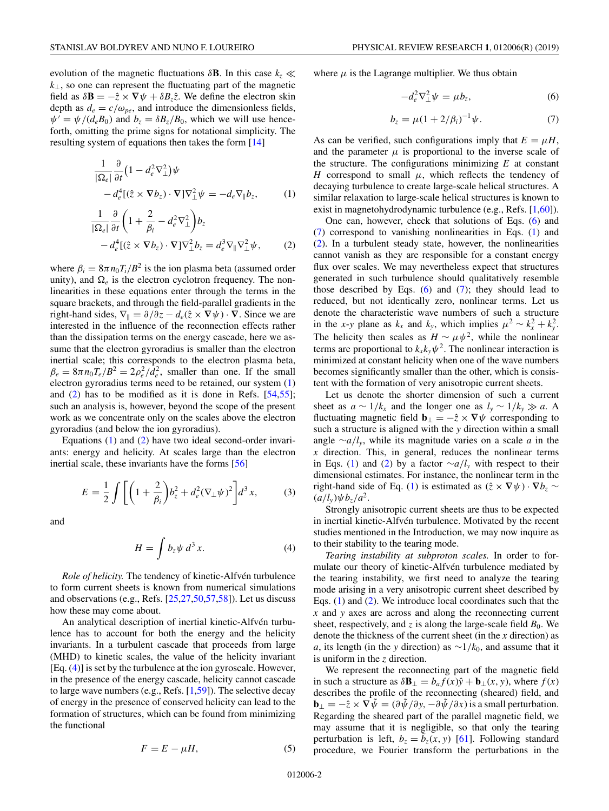<span id="page-1-0"></span>evolution of the magnetic fluctuations  $\delta$ **B**. In this case  $k_z \ll$  $k<sub>⊥</sub>$ , so one can represent the fluctuating part of the magnetic field as  $\delta \mathbf{B} = -\hat{z} \times \nabla \psi + \delta B_z \hat{z}$ . We define the electron skin depth as  $d_e = c/\omega_{pe}$ , and introduce the dimensionless fields,  $\psi' = \psi/(d_e B_0)$  and  $b_z = \delta B_z/B_0$ , which we will use henceforth, omitting the prime signs for notational simplicity. The resulting system of equations then takes the form [\[14\]](#page-4-0)

$$
\frac{1}{|\Omega_e|} \frac{\partial}{\partial t} \left( 1 - d_e^2 \nabla_\perp^2 \right) \psi - d_e^4 [(\hat{z} \times \nabla b_z) \cdot \nabla] \nabla_\perp^2 \psi = -d_e \nabla_{\parallel} b_z,
$$
 (1)

$$
\frac{1}{|\Omega_e|} \frac{\partial}{\partial t} \left( 1 + \frac{2}{\beta_i} - d_e^2 \nabla_\perp^2 \right) b_z \n- d_e^4 [(\hat{z} \times \nabla b_z) \cdot \nabla] \nabla_\perp^2 b_z = d_e^3 \nabla_\parallel \nabla_\perp^2 \psi,
$$
\n(2)

where  $\beta_i = 8\pi n_0 T_i/B^2$  is the ion plasma beta (assumed order unity), and  $\Omega_e$  is the electron cyclotron frequency. The nonlinearities in these equations enter through the terms in the square brackets, and through the field-parallel gradients in the right-hand sides,  $\nabla_{\parallel} = \partial/\partial z - d_e(\hat{z} \times \nabla \psi) \cdot \nabla$ . Since we are interested in the influence of the reconnection effects rather than the dissipation terms on the energy cascade, here we assume that the electron gyroradius is smaller than the electron inertial scale; this corresponds to the electron plasma beta,  $\beta_e = 8\pi n_0 T_e/B^2 = 2\rho_e^2/d_e^2$ , smaller than one. If the small electron gyroradius terms need to be retained, our system (1) and  $(2)$  has to be modified as it is done in Refs. [\[54,55\]](#page-5-0); such an analysis is, however, beyond the scope of the present work as we concentrate only on the scales above the electron gyroradius (and below the ion gyroradius).

Equations (1) and (2) have two ideal second-order invariants: energy and helicity. At scales large than the electron inertial scale, these invariants have the forms [\[56\]](#page-5-0)

$$
E = \frac{1}{2} \int \left[ \left( 1 + \frac{2}{\beta_i} \right) b_z^2 + d_e^2 (\nabla_\perp \psi)^2 \right] d^3 x, \tag{3}
$$

and

$$
H = \int b_z \psi \, d^3 x. \tag{4}
$$

*Role of helicity.* The tendency of kinetic-Alfvén turbulence to form current sheets is known from numerical simulations and observations (e.g., Refs. [\[25,27,50,](#page-4-0)[57,58\]](#page-5-0)). Let us discuss how these may come about.

An analytical description of inertial kinetic-Alfvén turbulence has to account for both the energy and the helicity invariants. In a turbulent cascade that proceeds from large (MHD) to kinetic scales, the value of the helicity invariant [Eq. (4)] is set by the turbulence at the ion gyroscale. However, in the presence of the energy cascade, helicity cannot cascade to large wave numbers (e.g., Refs. [\[1,](#page-4-0)[59\]](#page-5-0)). The selective decay of energy in the presence of conserved helicity can lead to the formation of structures, which can be found from minimizing the functional

$$
F = E - \mu H,\tag{5}
$$

where  $\mu$  is the Lagrange multiplier. We thus obtain

$$
-d_e^2 \nabla_\perp^2 \psi = \mu b_z,\tag{6}
$$

$$
b_z = \mu (1 + 2/\beta_i)^{-1} \psi.
$$
 (7)

As can be verified, such configurations imply that  $E = \mu H$ , and the parameter  $\mu$  is proportional to the inverse scale of the structure. The configurations minimizing *E* at constant *H* correspond to small  $\mu$ , which reflects the tendency of decaying turbulence to create large-scale helical structures. A similar relaxation to large-scale helical structures is known to exist in magnetohydrodynamic turbulence (e.g., Refs. [\[1,](#page-4-0)[60\]](#page-5-0)).

One can, however, check that solutions of Eqs. (6) and (7) correspond to vanishing nonlinearities in Eqs. (1) and (2). In a turbulent steady state, however, the nonlinearities cannot vanish as they are responsible for a constant energy flux over scales. We may nevertheless expect that structures generated in such turbulence should qualitatively resemble those described by Eqs.  $(6)$  and  $(7)$ ; they should lead to reduced, but not identically zero, nonlinear terms. Let us denote the characteristic wave numbers of such a structure in the *x*-*y* plane as  $k_x$  and  $k_y$ , which implies  $\mu^2 \sim k_x^2 + k_y^2$ . The helicity then scales as  $H \sim \mu \psi^2$ , while the nonlinear terms are proportional to  $k_x k_y \psi^2$ . The nonlinear interaction is minimized at constant helicity when one of the wave numbers becomes significantly smaller than the other, which is consistent with the formation of very anisotropic current sheets.

Let us denote the shorter dimension of such a current sheet as  $a \sim 1/k_x$  and the longer one as  $l_y \sim 1/k_y \gg a$ . A fluctuating magnetic field  $\mathbf{b}_{\perp} = -\hat{z} \times \nabla \psi$  corresponding to such a structure is aligned with the *y* direction within a small angle ∼*a*/*ly*, while its magnitude varies on a scale *a* in the *x* direction. This, in general, reduces the nonlinear terms in Eqs. (1) and (2) by a factor ∼*a*/*ly* with respect to their dimensional estimates. For instance, the nonlinear term in the right-hand side of Eq. (1) is estimated as  $(\hat{z} \times \nabla \psi) \cdot \nabla b_z$  $(a/l_v)\psi b_z/a^2$ .

Strongly anisotropic current sheets are thus to be expected in inertial kinetic-Alfvén turbulence. Motivated by the recent studies mentioned in the Introduction, we may now inquire as to their stability to the tearing mode.

*Tearing instability at subproton scales.* In order to formulate our theory of kinetic-Alfvén turbulence mediated by the tearing instability, we first need to analyze the tearing mode arising in a very anisotropic current sheet described by Eqs. (1) and (2). We introduce local coordinates such that the *x* and *y* axes are across and along the reconnecting current sheet, respectively, and  $z$  is along the large-scale field  $B_0$ . We denote the thickness of the current sheet (in the *x* direction) as *a*, its length (in the *y* direction) as  $\sim$ 1/*k*<sub>0</sub>, and assume that it is uniform in the *z* direction.

We represent the reconnecting part of the magnetic field in such a structure as  $\delta \mathbf{B}_{\perp} = b_a f(x) \hat{y} + \mathbf{b}_{\perp}(x, y)$ , where  $f(x)$ describes the profile of the reconnecting (sheared) field, and  $\mathbf{b}_{\perp} = -\hat{z} \times \nabla \tilde{\psi} = (\partial \tilde{\psi}/\partial y, -\partial \tilde{\psi}/\partial x)$  is a small perturbation. Regarding the sheared part of the parallel magnetic field, we may assume that it is negligible, so that only the tearing perturbation is left,  $b_z = \tilde{b}_z(x, y)$  [\[61\]](#page-5-0). Following standard procedure, we Fourier transform the perturbations in the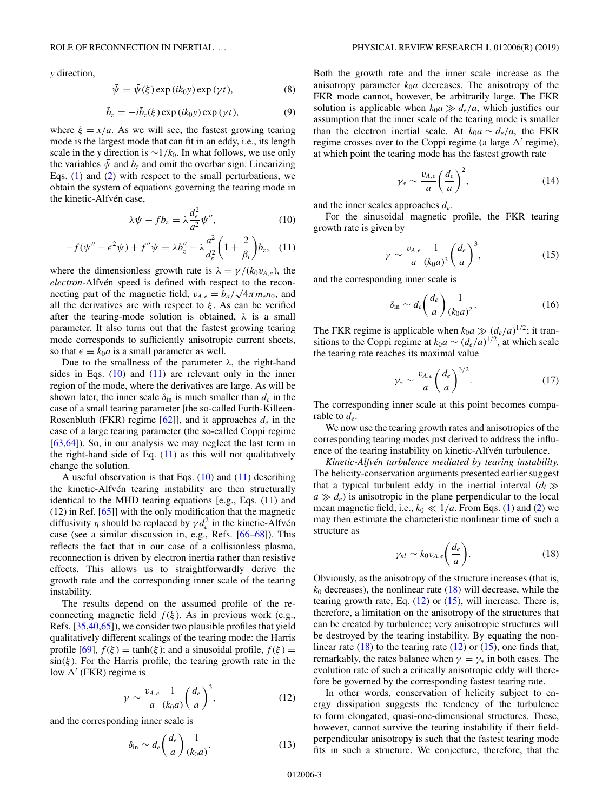*y* direction,

$$
\tilde{\psi} = \bar{\psi}(\xi) \exp(ik_0 y) \exp(\gamma t), \tag{8}
$$

$$
\tilde{b}_z = -i\bar{b}_z(\xi) \exp(ik_0 y) \exp(\gamma t), \qquad (9)
$$

where  $\xi = x/a$ . As we will see, the fastest growing tearing mode is the largest mode that can fit in an eddy, i.e., its length scale in the *y* direction is  $\sim$ 1/ $k_0$ . In what follows, we use only the variables  $\bar{\psi}$  and  $b_z$  and omit the overbar sign. Linearizing Eqs. [\(1\)](#page-1-0) and [\(2\)](#page-1-0) with respect to the small perturbations, we obtain the system of equations governing the tearing mode in the kinetic-Alfvén case,

$$
\lambda \psi - f b_z = \lambda \frac{d_e^2}{a^2} \psi'', \tag{10}
$$

$$
-f(\psi'' - \epsilon^2 \psi) + f''\psi = \lambda b''_z - \lambda \frac{a^2}{d_e^2} \left(1 + \frac{2}{\beta_i}\right) b_z, \quad (11)
$$

where the dimensionless growth rate is  $\lambda = \gamma/(k_0 v_{A,e})$ , the *electron*-Alfvén speed is defined with respect to the reconnecting part of the magnetic field,  $v_{A,e} = b_a / \sqrt{4 \pi m_e n_0}$ , and all the derivatives are with respect to  $\xi$ . As can be verified after the tearing-mode solution is obtained,  $\lambda$  is a small parameter. It also turns out that the fastest growing tearing mode corresponds to sufficiently anisotropic current sheets, so that  $\epsilon \equiv k_0 a$  is a small parameter as well.

Due to the smallness of the parameter  $\lambda$ , the right-hand sides in Eqs.  $(10)$  and  $(11)$  are relevant only in the inner region of the mode, where the derivatives are large. As will be shown later, the inner scale  $\delta_{\rm in}$  is much smaller than  $d_e$  in the case of a small tearing parameter [the so-called Furth-Killeen-Rosenbluth (FKR) regime [\[62\]](#page-5-0)], and it approaches *de* in the case of a large tearing parameter (the so-called Coppi regime [\[63,64\]](#page-5-0)). So, in our analysis we may neglect the last term in the right-hand side of Eq.  $(11)$  as this will not qualitatively change the solution.

A useful observation is that Eqs.  $(10)$  and  $(11)$  describing the kinetic-Alfvén tearing instability are then structurally identical to the MHD tearing equations [e.g., Eqs. (11) and (12) in Ref. [\[65\]](#page-5-0)] with the only modification that the magnetic diffusivity  $\eta$  should be replaced by  $\gamma d_e^2$  in the kinetic-Alfvén case (see a similar discussion in, e.g., Refs. [\[66–68\]](#page-5-0)). This reflects the fact that in our case of a collisionless plasma, reconnection is driven by electron inertia rather than resistive effects. This allows us to straightforwardly derive the growth rate and the corresponding inner scale of the tearing instability.

The results depend on the assumed profile of the reconnecting magnetic field  $f(\xi)$ . As in previous work (e.g., Refs. [\[35,40,](#page-4-0)[65\]](#page-5-0)), we consider two plausible profiles that yield qualitatively different scalings of the tearing mode: the Harris profile [\[69\]](#page-5-0),  $f(\xi) = \tanh(\xi)$ ; and a sinusoidal profile,  $f(\xi) =$  $sin(\xi)$ . For the Harris profile, the tearing growth rate in the low  $\Delta'$  (FKR) regime is

$$
\gamma \sim \frac{v_{A,e}}{a} \frac{1}{(k_0 a)} \left(\frac{d_e}{a}\right)^3,\tag{12}
$$

and the corresponding inner scale is

$$
\delta_{\rm in} \sim d_e \bigg( \frac{d_e}{a} \bigg) \frac{1}{(k_0 a)}.\tag{13}
$$

Both the growth rate and the inner scale increase as the anisotropy parameter  $k_0a$  decreases. The anisotropy of the FKR mode cannot, however, be arbitrarily large. The FKR solution is applicable when  $k_0 a \gg d_e/a$ , which justifies our assumption that the inner scale of the tearing mode is smaller than the electron inertial scale. At  $k_0 a \sim d_e/a$ , the FKR

regime crosses over to the Coppi regime (a large  $\Delta'$  regime), at which point the tearing mode has the fastest growth rate

$$
\gamma_* \sim \frac{v_{A,e}}{a} \left(\frac{d_e}{a}\right)^2,\tag{14}
$$

and the inner scales approaches *de*.

For the sinusoidal magnetic profile, the FKR tearing growth rate is given by

$$
\gamma \sim \frac{v_{A,e}}{a} \frac{1}{(k_0 a)^3} \left(\frac{d_e}{a}\right)^3,\tag{15}
$$

and the corresponding inner scale is

$$
\delta_{\rm in} \sim d_e \bigg( \frac{d_e}{a} \bigg) \frac{1}{(k_0 a)^2} . \tag{16}
$$

The FKR regime is applicable when  $k_0 a \gg (d_e/a)^{1/2}$ ; it transitions to the Coppi regime at  $k_0 a \sim (d_e/a)^{1/2}$ , at which scale the tearing rate reaches its maximal value

$$
\gamma_* \sim \frac{v_{A,e}}{a} \left(\frac{d_e}{a}\right)^{3/2}.\tag{17}
$$

The corresponding inner scale at this point becomes comparable to *de*.

We now use the tearing growth rates and anisotropies of the corresponding tearing modes just derived to address the influence of the tearing instability on kinetic-Alfvén turbulence.

*Kinetic-Alfvén turbulence mediated by tearing instability.* The helicity-conservation arguments presented earlier suggest that a typical turbulent eddy in the inertial interval  $(d_i)$  $a \gg d_e$ ) is anisotropic in the plane perpendicular to the local mean magnetic field, i.e.,  $k_0 \ll 1/a$ . From Eqs. [\(1\)](#page-1-0) and [\(2\)](#page-1-0) we may then estimate the characteristic nonlinear time of such a structure as

$$
\gamma_{nl} \sim k_0 v_{A,e} \bigg(\frac{d_e}{a}\bigg). \tag{18}
$$

Obviously, as the anisotropy of the structure increases (that is,  $k_0$  decreases), the nonlinear rate  $(18)$  will decrease, while the tearing growth rate, Eq. (12) or (15), will increase. There is, therefore, a limitation on the anisotropy of the structures that can be created by turbulence; very anisotropic structures will be destroyed by the tearing instability. By equating the nonlinear rate  $(18)$  to the tearing rate  $(12)$  or  $(15)$ , one finds that, remarkably, the rates balance when  $\gamma = \gamma_*$  in both cases. The evolution rate of such a critically anisotropic eddy will therefore be governed by the corresponding fastest tearing rate.

In other words, conservation of helicity subject to energy dissipation suggests the tendency of the turbulence to form elongated, quasi-one-dimensional structures. These, however, cannot survive the tearing instability if their fieldperpendicular anisotropy is such that the fastest tearing mode fits in such a structure. We conjecture, therefore, that the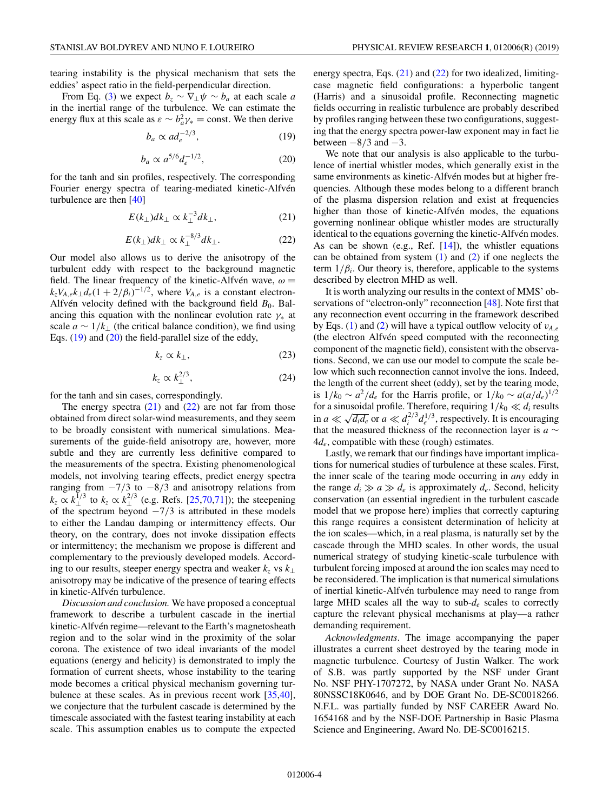tearing instability is the physical mechanism that sets the eddies' aspect ratio in the field-perpendicular direction.

From Eq. [\(3\)](#page-1-0) we expect  $b_z \sim \nabla_\perp \psi \sim b_a$  at each scale *a* in the inertial range of the turbulence. We can estimate the energy flux at this scale as  $\varepsilon \sim b_a^2 \gamma_* = \text{const.}$  We then derive

$$
b_a \propto ad_e^{-2/3},\tag{19}
$$

$$
b_a \propto a^{5/6} d_e^{-1/2},\tag{20}
$$

for the tanh and sin profiles, respectively. The corresponding Fourier energy spectra of tearing-mediated kinetic-Alfvén turbulence are then [\[40\]](#page-4-0)

$$
E(k_{\perp})dk_{\perp} \propto k_{\perp}^{-3}dk_{\perp},\tag{21}
$$

$$
E(k_{\perp})dk_{\perp} \propto k_{\perp}^{-8/3} dk_{\perp}.
$$
 (22)

Our model also allows us to derive the anisotropy of the turbulent eddy with respect to the background magnetic field. The linear frequency of the kinetic-Alfvén wave,  $\omega =$  $k_z V_{A,e} k_{\perp} d_e (1 + 2/\beta_i)^{-1/2}$ , where  $V_{A,e}$  is a constant electron-Alfvén velocity defined with the background field  $B_0$ . Balancing this equation with the nonlinear evolution rate  $\gamma_*$  at scale  $a \sim 1/k_{\perp}$  (the critical balance condition), we find using Eqs. (19) and (20) the field-parallel size of the eddy,

$$
k_z \propto k_\perp,\tag{23}
$$

$$
k_z \propto k_\perp^{2/3},\tag{24}
$$

for the tanh and sin cases, correspondingly.

The energy spectra  $(21)$  and  $(22)$  are not far from those obtained from direct solar-wind measurements, and they seem to be broadly consistent with numerical simulations. Measurements of the guide-field anisotropy are, however, more subtle and they are currently less definitive compared to the measurements of the spectra. Existing phenomenological models, not involving tearing effects, predict energy spectra ranging from  $-7/3$  to  $-8/3$  and anisotropy relations from  $k_z \propto k_{\perp}^{1/3}$  to  $k_z \propto k_{\perp}^{2/3}$  (e.g. Refs. [\[25](#page-4-0)[,70,71\]](#page-5-0)); the steepening of the spectrum beyond  $-\frac{7}{3}$  is attributed in these models to either the Landau damping or intermittency effects. Our theory, on the contrary, does not invoke dissipation effects or intermittency; the mechanism we propose is different and complementary to the previously developed models. According to our results, steeper energy spectra and weaker  $k_z$  vs  $k_\perp$ anisotropy may be indicative of the presence of tearing effects in kinetic-Alfvén turbulence.

*Discussion and conclusion.* We have proposed a conceptual framework to describe a turbulent cascade in the inertial kinetic-Alfvén regime—relevant to the Earth's magnetosheath region and to the solar wind in the proximity of the solar corona. The existence of two ideal invariants of the model equations (energy and helicity) is demonstrated to imply the formation of current sheets, whose instability to the tearing mode becomes a critical physical mechanism governing turbulence at these scales. As in previous recent work [\[35,40\]](#page-4-0), we conjecture that the turbulent cascade is determined by the timescale associated with the fastest tearing instability at each scale. This assumption enables us to compute the expected energy spectra, Eqs. (21) and (22) for two idealized, limitingcase magnetic field configurations: a hyperbolic tangent (Harris) and a sinusoidal profile. Reconnecting magnetic fields occurring in realistic turbulence are probably described by profiles ranging between these two configurations, suggesting that the energy spectra power-law exponent may in fact lie between  $-8/3$  and  $-3$ .

We note that our analysis is also applicable to the turbulence of inertial whistler modes, which generally exist in the same environments as kinetic-Alfvén modes but at higher frequencies. Although these modes belong to a different branch of the plasma dispersion relation and exist at frequencies higher than those of kinetic-Alfvén modes, the equations governing nonlinear oblique whistler modes are structurally identical to the equations governing the kinetic-Alfvén modes. As can be shown (e.g., Ref.  $[14]$ ), the whistler equations can be obtained from system  $(1)$  and  $(2)$  if one neglects the term  $1/\beta_i$ . Our theory is, therefore, applicable to the systems described by electron MHD as well.

It is worth analyzing our results in the context of MMS' observations of "electron-only" reconnection [\[48\]](#page-4-0). Note first that any reconnection event occurring in the framework described by Eqs. [\(1\)](#page-1-0) and [\(2\)](#page-1-0) will have a typical outflow velocity of  $v_{A,e}$ (the electron Alfvén speed computed with the reconnecting component of the magnetic field), consistent with the observations. Second, we can use our model to compute the scale below which such reconnection cannot involve the ions. Indeed, the length of the current sheet (eddy), set by the tearing mode, is  $1/k_0 \sim a^2/d_e$  for the Harris profile, or  $1/k_0 \sim a(a/d_e)^{1/2}$ for a sinusoidal profile. Therefore, requiring  $1/k_0 \ll d_i$  results in  $a \ll \sqrt{d_i d_e}$  or  $a \ll d_i^{2/3} d_e^{1/3}$ , respectively. It is encouraging that the measured thickness of the reconnection layer is *a* ∼ 4*de*, compatible with these (rough) estimates.

Lastly, we remark that our findings have important implications for numerical studies of turbulence at these scales. First, the inner scale of the tearing mode occurring in *any* eddy in the range  $d_i \gg a \gg d_e$  is approximately  $d_e$ . Second, helicity conservation (an essential ingredient in the turbulent cascade model that we propose here) implies that correctly capturing this range requires a consistent determination of helicity at the ion scales—which, in a real plasma, is naturally set by the cascade through the MHD scales. In other words, the usual numerical strategy of studying kinetic-scale turbulence with turbulent forcing imposed at around the ion scales may need to be reconsidered. The implication is that numerical simulations of inertial kinetic-Alfvén turbulence may need to range from large MHD scales all the way to sub-*de* scales to correctly capture the relevant physical mechanisms at play—a rather demanding requirement.

*Acknowledgments*. The image accompanying the paper illustrates a current sheet destroyed by the tearing mode in magnetic turbulence. Courtesy of Justin Walker. The work of S.B. was partly supported by the NSF under Grant No. NSF PHY-1707272, by NASA under Grant No. NASA 80NSSC18K0646, and by DOE Grant No. DE-SC0018266. N.F.L. was partially funded by NSF CAREER Award No. 1654168 and by the NSF-DOE Partnership in Basic Plasma Science and Engineering, Award No. DE-SC0016215.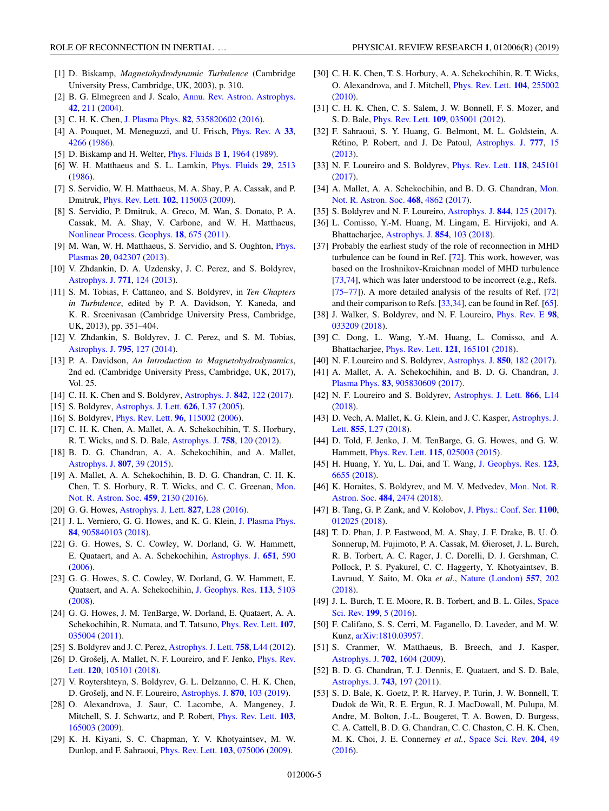- <span id="page-4-0"></span>[1] D. Biskamp, *Magnetohydrodynamic Turbulence* (Cambridge University Press, Cambridge, UK, 2003), p. 310.
- [2] B. G. Elmegreen and J. Scalo, [Annu. Rev. Astron. Astrophys.](https://doi.org/10.1146/annurev.astro.41.011802.094859) **[42](https://doi.org/10.1146/annurev.astro.41.011802.094859)**, [211](https://doi.org/10.1146/annurev.astro.41.011802.094859) [\(2004\)](https://doi.org/10.1146/annurev.astro.41.011802.094859).
- [3] C. H. K. Chen, [J. Plasma Phys.](https://doi.org/10.1017/S0022377816001124) **[82](https://doi.org/10.1017/S0022377816001124)**, [535820602](https://doi.org/10.1017/S0022377816001124) [\(2016\)](https://doi.org/10.1017/S0022377816001124).
- [4] A. Pouquet, M. Meneguzzi, and U. Frisch, [Phys. Rev. A](https://doi.org/10.1103/PhysRevA.33.4266) **[33](https://doi.org/10.1103/PhysRevA.33.4266)**, [4266](https://doi.org/10.1103/PhysRevA.33.4266) [\(1986\)](https://doi.org/10.1103/PhysRevA.33.4266).
- [5] D. Biskamp and H. Welter, [Phys. Fluids B](https://doi.org/10.1063/1.859060) **[1](https://doi.org/10.1063/1.859060)**, [1964](https://doi.org/10.1063/1.859060) [\(1989\)](https://doi.org/10.1063/1.859060).
- [6] W. H. Matthaeus and S. L. Lamkin, [Phys. Fluids](https://doi.org/10.1063/1.866004) **[29](https://doi.org/10.1063/1.866004)**, [2513](https://doi.org/10.1063/1.866004) [\(1986\)](https://doi.org/10.1063/1.866004).
- [7] S. Servidio, W. H. Matthaeus, M. A. Shay, P. A. Cassak, and P. Dmitruk, [Phys. Rev. Lett.](https://doi.org/10.1103/PhysRevLett.102.115003) **[102](https://doi.org/10.1103/PhysRevLett.102.115003)**, [115003](https://doi.org/10.1103/PhysRevLett.102.115003) [\(2009\)](https://doi.org/10.1103/PhysRevLett.102.115003).
- [8] S. Servidio, P. Dmitruk, A. Greco, M. Wan, S. Donato, P. A. Cassak, M. A. Shay, V. Carbone, and W. H. Matthaeus, [Nonlinear Process. Geophys.](https://doi.org/10.5194/npg-18-675-2011) **[18](https://doi.org/10.5194/npg-18-675-2011)**, [675](https://doi.org/10.5194/npg-18-675-2011) [\(2011\)](https://doi.org/10.5194/npg-18-675-2011).
- [9] [M. Wan, W. H. Matthaeus, S. Servidio, and S. Oughton,](https://doi.org/10.1063/1.4802985) *Phys.* Plasmas **[20](https://doi.org/10.1063/1.4802985)**, [042307](https://doi.org/10.1063/1.4802985) [\(2013\)](https://doi.org/10.1063/1.4802985).
- [10] V. Zhdankin, D. A. Uzdensky, J. C. Perez, and S. Boldyrev, [Astrophys. J.](https://doi.org/10.1088/0004-637X/771/2/124) **[771](https://doi.org/10.1088/0004-637X/771/2/124)**, [124](https://doi.org/10.1088/0004-637X/771/2/124) [\(2013\)](https://doi.org/10.1088/0004-637X/771/2/124).
- [11] S. M. Tobias, F. Cattaneo, and S. Boldyrev, in *Ten Chapters in Turbulence*, edited by P. A. Davidson, Y. Kaneda, and K. R. Sreenivasan (Cambridge University Press, Cambridge, UK, 2013), pp. 351–404.
- [12] V. Zhdankin, S. Boldyrev, J. C. Perez, and S. M. Tobias, [Astrophys. J.](https://doi.org/10.1088/0004-637X/795/2/127) **[795](https://doi.org/10.1088/0004-637X/795/2/127)**, [127](https://doi.org/10.1088/0004-637X/795/2/127) [\(2014\)](https://doi.org/10.1088/0004-637X/795/2/127).
- [13] P. A. Davidson, *An Introduction to Magnetohydrodynamics*, 2nd ed. (Cambridge University Press, Cambridge, UK, 2017), Vol. 25.
- [14] C. H. K. Chen and S. Boldyrev, [Astrophys. J.](https://doi.org/10.3847/1538-4357/aa74e0) **[842](https://doi.org/10.3847/1538-4357/aa74e0)**, [122](https://doi.org/10.3847/1538-4357/aa74e0) [\(2017\)](https://doi.org/10.3847/1538-4357/aa74e0).
- [15] S. Boldyrev, [Astrophys. J. Lett.](https://doi.org/10.1086/431649) **[626](https://doi.org/10.1086/431649)**, [L37](https://doi.org/10.1086/431649) [\(2005\)](https://doi.org/10.1086/431649).
- [16] S. Boldyrev, [Phys. Rev. Lett.](https://doi.org/10.1103/PhysRevLett.96.115002) **[96](https://doi.org/10.1103/PhysRevLett.96.115002)**, [115002](https://doi.org/10.1103/PhysRevLett.96.115002) [\(2006\)](https://doi.org/10.1103/PhysRevLett.96.115002).
- [17] C. H. K. Chen, A. Mallet, A. A. Schekochihin, T. S. Horbury, R. T. Wicks, and S. D. Bale, [Astrophys. J.](https://doi.org/10.1088/0004-637X/758/2/120) **[758](https://doi.org/10.1088/0004-637X/758/2/120)**, [120](https://doi.org/10.1088/0004-637X/758/2/120) [\(2012\)](https://doi.org/10.1088/0004-637X/758/2/120).
- [18] B. D. G. Chandran, A. A. Schekochihin, and A. Mallet, [Astrophys. J.](https://doi.org/10.1088/0004-637X/807/1/39) **[807](https://doi.org/10.1088/0004-637X/807/1/39)**, [39](https://doi.org/10.1088/0004-637X/807/1/39) [\(2015\)](https://doi.org/10.1088/0004-637X/807/1/39).
- [19] A. Mallet, A. A. Schekochihin, B. D. G. Chandran, C. H. K. [Chen, T. S. Horbury, R. T. Wicks, and C. C. Greenan,](https://doi.org/10.1093/mnras/stw802) Mon. Not. R. Astron. Soc. **[459](https://doi.org/10.1093/mnras/stw802)**, [2130](https://doi.org/10.1093/mnras/stw802) [\(2016\)](https://doi.org/10.1093/mnras/stw802).
- [20] G. G. Howes, [Astrophys. J. Lett.](https://doi.org/10.3847/2041-8205/827/2/L28) **[827](https://doi.org/10.3847/2041-8205/827/2/L28)**, [L28](https://doi.org/10.3847/2041-8205/827/2/L28) [\(2016\)](https://doi.org/10.3847/2041-8205/827/2/L28).
- [21] J. L. Verniero, G. G. Howes, and K. G. Klein, [J. Plasma Phys.](https://doi.org/10.1017/S0022377817001003) **[84](https://doi.org/10.1017/S0022377817001003)**, [905840103](https://doi.org/10.1017/S0022377817001003) [\(2018\)](https://doi.org/10.1017/S0022377817001003).
- [22] G. G. Howes, S. C. Cowley, W. Dorland, G. W. Hammett, E. Quataert, and A. A. Schekochihin, [Astrophys. J.](https://doi.org/10.1086/506172) **[651](https://doi.org/10.1086/506172)**, [590](https://doi.org/10.1086/506172) [\(2006\)](https://doi.org/10.1086/506172).
- [23] G. G. Howes, S. C. Cowley, W. Dorland, G. W. Hammett, E. Quataert, and A. A. Schekochihin, [J. Geophys. Res.](https://doi.org/10.1029/2007JB005264) **[113](https://doi.org/10.1029/2007JB005264)**, [5103](https://doi.org/10.1029/2007JB005264) [\(2008\)](https://doi.org/10.1029/2007JB005264).
- [24] G. G. Howes, J. M. TenBarge, W. Dorland, E. Quataert, A. A. Schekochihin, R. Numata, and T. Tatsuno, [Phys. Rev. Lett.](https://doi.org/10.1103/PhysRevLett.107.035004) **[107](https://doi.org/10.1103/PhysRevLett.107.035004)**, [035004](https://doi.org/10.1103/PhysRevLett.107.035004) [\(2011\)](https://doi.org/10.1103/PhysRevLett.107.035004).
- [25] S. Boldyrev and J. C. Perez, [Astrophys. J. Lett.](https://doi.org/10.1088/2041-8205/758/2/L44) **[758](https://doi.org/10.1088/2041-8205/758/2/L44)**, [L44](https://doi.org/10.1088/2041-8205/758/2/L44) [\(2012\)](https://doi.org/10.1088/2041-8205/758/2/L44).
- [26] [D. Grošelj, A. Mallet, N. F. Loureiro, and F. Jenko,](https://doi.org/10.1103/PhysRevLett.120.105101) *Phys. Rev.* Lett. **[120](https://doi.org/10.1103/PhysRevLett.120.105101)**, [105101](https://doi.org/10.1103/PhysRevLett.120.105101) [\(2018\)](https://doi.org/10.1103/PhysRevLett.120.105101).
- [27] V. Roytershteyn, S. Boldyrev, G. L. Delzanno, C. H. K. Chen, D. Grošelj, and N. F. Loureiro, [Astrophys. J.](https://doi.org/10.3847/1538-4357/aaf288) **[870](https://doi.org/10.3847/1538-4357/aaf288)**, [103](https://doi.org/10.3847/1538-4357/aaf288) [\(2019\)](https://doi.org/10.3847/1538-4357/aaf288).
- [28] O. Alexandrova, J. Saur, C. Lacombe, A. Mangeney, J. Mitchell, S. J. Schwartz, and P. Robert, [Phys. Rev. Lett.](https://doi.org/10.1103/PhysRevLett.103.165003) **[103](https://doi.org/10.1103/PhysRevLett.103.165003)**, [165003](https://doi.org/10.1103/PhysRevLett.103.165003) [\(2009\)](https://doi.org/10.1103/PhysRevLett.103.165003).
- [29] K. H. Kiyani, S. C. Chapman, Y. V. Khotyaintsev, M. W. Dunlop, and F. Sahraoui, [Phys. Rev. Lett.](https://doi.org/10.1103/PhysRevLett.103.075006) **[103](https://doi.org/10.1103/PhysRevLett.103.075006)**, [075006](https://doi.org/10.1103/PhysRevLett.103.075006) [\(2009\)](https://doi.org/10.1103/PhysRevLett.103.075006).
- [30] C. H. K. Chen, T. S. Horbury, A. A. Schekochihin, R. T. Wicks, O. Alexandrova, and J. Mitchell, [Phys. Rev. Lett.](https://doi.org/10.1103/PhysRevLett.104.255002) **[104](https://doi.org/10.1103/PhysRevLett.104.255002)**, [255002](https://doi.org/10.1103/PhysRevLett.104.255002) [\(2010\)](https://doi.org/10.1103/PhysRevLett.104.255002).
- [31] C. H. K. Chen, C. S. Salem, J. W. Bonnell, F. S. Mozer, and S. D. Bale, [Phys. Rev. Lett.](https://doi.org/10.1103/PhysRevLett.109.035001) **[109](https://doi.org/10.1103/PhysRevLett.109.035001)**, [035001](https://doi.org/10.1103/PhysRevLett.109.035001) [\(2012\)](https://doi.org/10.1103/PhysRevLett.109.035001).
- [32] F. Sahraoui, S. Y. Huang, G. Belmont, M. L. Goldstein, A. Rétino, P. Robert, and J. De Patoul, [Astrophys. J.](https://doi.org/10.1088/0004-637X/777/1/15) **[777](https://doi.org/10.1088/0004-637X/777/1/15)**, [15](https://doi.org/10.1088/0004-637X/777/1/15) [\(2013\)](https://doi.org/10.1088/0004-637X/777/1/15).
- [33] N. F. Loureiro and S. Boldyrev, [Phys. Rev. Lett.](https://doi.org/10.1103/PhysRevLett.118.245101) **[118](https://doi.org/10.1103/PhysRevLett.118.245101)**, [245101](https://doi.org/10.1103/PhysRevLett.118.245101) [\(2017\)](https://doi.org/10.1103/PhysRevLett.118.245101).
- [34] [A. Mallet, A. A. Schekochihin, and B. D. G. Chandran,](https://doi.org/10.1093/mnras/stx670) Mon. Not. R. Astron. Soc. **[468](https://doi.org/10.1093/mnras/stx670)**, [4862](https://doi.org/10.1093/mnras/stx670) [\(2017\)](https://doi.org/10.1093/mnras/stx670).
- [35] S. Boldyrev and N. F. Loureiro, [Astrophys. J.](https://doi.org/10.3847/1538-4357/aa7d02) **[844](https://doi.org/10.3847/1538-4357/aa7d02)**, [125](https://doi.org/10.3847/1538-4357/aa7d02) [\(2017\)](https://doi.org/10.3847/1538-4357/aa7d02).
- [36] L. Comisso, Y.-M. Huang, M. Lingam, E. Hirvijoki, and A. Bhattacharjee, [Astrophys. J.](https://doi.org/10.3847/1538-4357/aaac83) **[854](https://doi.org/10.3847/1538-4357/aaac83)**, [103](https://doi.org/10.3847/1538-4357/aaac83) [\(2018\)](https://doi.org/10.3847/1538-4357/aaac83).
- [37] Probably the earliest study of the role of reconnection in MHD turbulence can be found in Ref. [\[72\]](#page-5-0). This work, however, was based on the Iroshnikov-Kraichnan model of MHD turbulence [\[73,74\]](#page-5-0), which was later understood to be incorrect (e.g., Refs. [\[75–77\]](#page-5-0)). A more detailed analysis of the results of Ref. [\[72\]](#page-5-0) and their comparison to Refs. [33,34], can be found in Ref. [\[65\]](#page-5-0).
- [38] J. Walker, S. Boldyrev, and N. F. Loureiro, [Phys. Rev. E](https://doi.org/10.1103/PhysRevE.98.033209) **[98](https://doi.org/10.1103/PhysRevE.98.033209)**, [033209](https://doi.org/10.1103/PhysRevE.98.033209) [\(2018\)](https://doi.org/10.1103/PhysRevE.98.033209).
- [39] C. Dong, L. Wang, Y.-M. Huang, L. Comisso, and A. Bhattacharjee, [Phys. Rev. Lett.](https://doi.org/10.1103/PhysRevLett.121.165101) **[121](https://doi.org/10.1103/PhysRevLett.121.165101)**, [165101](https://doi.org/10.1103/PhysRevLett.121.165101) [\(2018\)](https://doi.org/10.1103/PhysRevLett.121.165101).
- [40] N. F. Loureiro and S. Boldyrev, [Astrophys. J.](https://doi.org/10.3847/1538-4357/aa9754) **[850](https://doi.org/10.3847/1538-4357/aa9754)**, [182](https://doi.org/10.3847/1538-4357/aa9754) [\(2017\)](https://doi.org/10.3847/1538-4357/aa9754).
- [41] [A. Mallet, A. A. Schekochihin, and B. D. G. Chandran,](https://doi.org/10.1017/S0022377817000812) J. Plasma Phys. **[83](https://doi.org/10.1017/S0022377817000812)**, [905830609](https://doi.org/10.1017/S0022377817000812) [\(2017\)](https://doi.org/10.1017/S0022377817000812).
- [42] N. F. Loureiro and S. Boldyrev, [Astrophys. J. Lett.](https://doi.org/10.3847/2041-8213/aae483) **[866](https://doi.org/10.3847/2041-8213/aae483)**, [L14](https://doi.org/10.3847/2041-8213/aae483) [\(2018\)](https://doi.org/10.3847/2041-8213/aae483).
- [43] [D. Vech, A. Mallet, K. G. Klein, and J. C. Kasper,](https://doi.org/10.3847/2041-8213/aab351) Astrophys. J. Lett. **[855](https://doi.org/10.3847/2041-8213/aab351)**, [L27](https://doi.org/10.3847/2041-8213/aab351) [\(2018\)](https://doi.org/10.3847/2041-8213/aab351).
- [44] D. Told, F. Jenko, J. M. TenBarge, G. G. Howes, and G. W. Hammett, [Phys. Rev. Lett.](https://doi.org/10.1103/PhysRevLett.115.025003) **[115](https://doi.org/10.1103/PhysRevLett.115.025003)**, [025003](https://doi.org/10.1103/PhysRevLett.115.025003) [\(2015\)](https://doi.org/10.1103/PhysRevLett.115.025003).
- [45] H. Huang, Y. Yu, L. Dai, and T. Wang, [J. Geophys. Res.](https://doi.org/10.1029/2017JA025071) **[123](https://doi.org/10.1029/2017JA025071)**, [6655](https://doi.org/10.1029/2017JA025071) [\(2018\)](https://doi.org/10.1029/2017JA025071).
- [46] [K. Horaites, S. Boldyrev, and M. V. Medvedev,](https://doi.org/10.1093/mnras/sty3504) Mon. Not. R. Astron. Soc. **[484](https://doi.org/10.1093/mnras/sty3504)**, [2474](https://doi.org/10.1093/mnras/sty3504) [\(2018\)](https://doi.org/10.1093/mnras/sty3504).
- [47] B. Tang, G. P. Zank, and V. Kolobov, [J. Phys.: Conf. Ser.](https://doi.org/10.1088/1742-6596/1100/1/012025) **[1100](https://doi.org/10.1088/1742-6596/1100/1/012025)**, [012025](https://doi.org/10.1088/1742-6596/1100/1/012025) [\(2018\)](https://doi.org/10.1088/1742-6596/1100/1/012025).
- [48] T. D. Phan, J. P. Eastwood, M. A. Shay, J. F. Drake, B. U. Ö. Sonnerup, M. Fujimoto, P. A. Cassak, M. Øieroset, J. L. Burch, R. B. Torbert, A. C. Rager, J. C. Dorelli, D. J. Gershman, C. Pollock, P. S. Pyakurel, C. C. Haggerty, Y. Khotyaintsev, B. Lavraud, Y. Saito, M. Oka *et al.*, [Nature \(London\)](https://doi.org/10.1038/s41586-018-0091-5) **[557](https://doi.org/10.1038/s41586-018-0091-5)**, [202](https://doi.org/10.1038/s41586-018-0091-5) [\(2018\)](https://doi.org/10.1038/s41586-018-0091-5).
- [49] [J. L. Burch, T. E. Moore, R. B. Torbert, and B. L. Giles,](https://doi.org/10.1007/s11214-015-0164-9) Space Sci. Rev. **[199](https://doi.org/10.1007/s11214-015-0164-9)**, [5](https://doi.org/10.1007/s11214-015-0164-9) [\(2016\)](https://doi.org/10.1007/s11214-015-0164-9).
- [50] F. Califano, S. S. Cerri, M. Faganello, D. Laveder, and M. W. Kunz, [arXiv:1810.03957.](http://arxiv.org/abs/arXiv:1810.03957)
- [51] S. Cranmer, W. Matthaeus, B. Breech, and J. Kasper, [Astrophys. J.](https://doi.org/10.1088/0004-637X/702/2/1604) **[702](https://doi.org/10.1088/0004-637X/702/2/1604)**, [1604](https://doi.org/10.1088/0004-637X/702/2/1604) [\(2009\)](https://doi.org/10.1088/0004-637X/702/2/1604).
- [52] B. D. G. Chandran, T. J. Dennis, E. Quataert, and S. D. Bale, [Astrophys. J.](https://doi.org/10.1088/0004-637X/743/2/197) **[743](https://doi.org/10.1088/0004-637X/743/2/197)**, [197](https://doi.org/10.1088/0004-637X/743/2/197) [\(2011\)](https://doi.org/10.1088/0004-637X/743/2/197).
- [53] S. D. Bale, K. Goetz, P. R. Harvey, P. Turin, J. W. Bonnell, T. Dudok de Wit, R. E. Ergun, R. J. MacDowall, M. Pulupa, M. Andre, M. Bolton, J.-L. Bougeret, T. A. Bowen, D. Burgess, C. A. Cattell, B. D. G. Chandran, C. C. Chaston, C. H. K. Chen, M. K. Choi, J. E. Connerney *et al.*, [Space Sci. Rev.](https://doi.org/10.1007/s11214-016-0244-5) **[204](https://doi.org/10.1007/s11214-016-0244-5)**, [49](https://doi.org/10.1007/s11214-016-0244-5) [\(2016\)](https://doi.org/10.1007/s11214-016-0244-5).